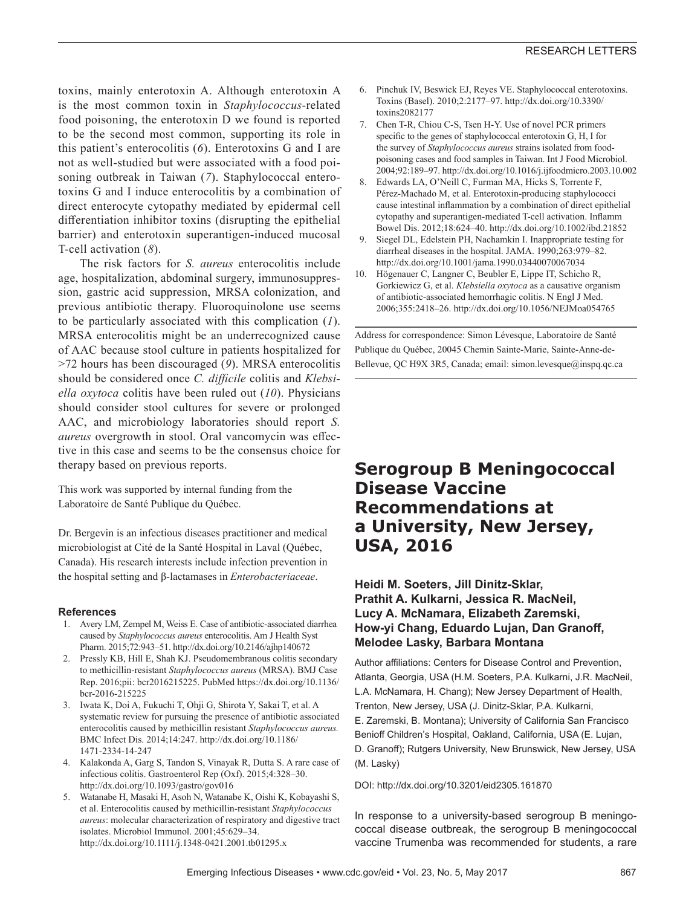toxins, mainly enterotoxin A. Although enterotoxin A is the most common toxin in *Staphylococcus*-related food poisoning, the enterotoxin D we found is reported to be the second most common, supporting its role in this patient's enterocolitis (*6*). Enterotoxins G and I are not as well-studied but were associated with a food poisoning outbreak in Taiwan (*7*). Staphylococcal enterotoxins G and I induce enterocolitis by a combination of direct enterocyte cytopathy mediated by epidermal cell differentiation inhibitor toxins (disrupting the epithelial barrier) and enterotoxin superantigen-induced mucosal T-cell activation (*8*).

The risk factors for *S. aureus* enterocolitis include age, hospitalization, abdominal surgery, immunosuppression, gastric acid suppression, MRSA colonization, and previous antibiotic therapy. Fluoroquinolone use seems to be particularly associated with this complication (*1*). MRSA enterocolitis might be an underrecognized cause of AAC because stool culture in patients hospitalized for >72 hours has been discouraged (*9*). MRSA enterocolitis should be considered once *C. difficile* colitis and *Klebsiella oxytoca* colitis have been ruled out (*10*). Physicians should consider stool cultures for severe or prolonged AAC, and microbiology laboratories should report *S. aureus* overgrowth in stool. Oral vancomycin was effective in this case and seems to be the consensus choice for therapy based on previous reports.

This work was supported by internal funding from the Laboratoire de Santé Publique du Québec.

Dr. Bergevin is an infectious diseases practitioner and medical microbiologist at Cité de la Santé Hospital in Laval (Québec, Canada). His research interests include infection prevention in the hospital setting and β-lactamases in *Enterobacteriaceae*.

## **References**

- 1. Avery LM, Zempel M, Weiss E. Case of antibiotic-associated diarrhea caused by *Staphylococcus aureus* enterocolitis. Am J Health Syst Pharm. 2015;72:943–51. http://dx.doi.org/10.2146/ajhp140672
- 2. Pressly KB, Hill E, Shah KJ. Pseudomembranous colitis secondary to methicillin-resistant *Staphylococcus aureus* (MRSA). BMJ Case Rep. 2016;pii: bcr2016215225. PubMed https://dx.doi.org/10.1136/ bcr-2016-215225
- 3. Iwata K, Doi A, Fukuchi T, Ohji G, Shirota Y, Sakai T, et al. A systematic review for pursuing the presence of antibiotic associated enterocolitis caused by methicillin resistant *Staphylococcus aureus.* BMC Infect Dis. 2014;14:247. http://dx.doi.org/10.1186/ 1471-2334-14-247
- 4. Kalakonda A, Garg S, Tandon S, Vinayak R, Dutta S. A rare case of infectious colitis. Gastroenterol Rep (Oxf). 2015;4:328–30. http://dx.doi.org/10.1093/gastro/gov016
- 5. Watanabe H, Masaki H, Asoh N, Watanabe K, Oishi K, Kobayashi S, et al. Enterocolitis caused by methicillin-resistant *Staphylococcus aureus*: molecular characterization of respiratory and digestive tract isolates. Microbiol Immunol. 2001;45:629–34. http://dx.doi.org/10.1111/j.1348-0421.2001.tb01295.x
- 6. Pinchuk IV, Beswick EJ, Reyes VE. Staphylococcal enterotoxins. Toxins (Basel). 2010;2:2177–97. http://dx.doi.org/10.3390/ toxins2082177
- 7. Chen T-R, Chiou C-S, Tsen H-Y. Use of novel PCR primers specific to the genes of staphylococcal enterotoxin G, H, I for the survey of *Staphylococcus aureus* strains isolated from foodpoisoning cases and food samples in Taiwan. Int J Food Microbiol. 2004;92:189–97. http://dx.doi.org/10.1016/j.ijfoodmicro.2003.10.002
- 8. Edwards LA, O'Neill C, Furman MA, Hicks S, Torrente F, Pérez-Machado M, et al. Enterotoxin-producing staphylococci cause intestinal inflammation by a combination of direct epithelial cytopathy and superantigen-mediated T-cell activation. Inflamm Bowel Dis. 2012;18:624–40. http://dx.doi.org/10.1002/ibd.21852
- 9. Siegel DL, Edelstein PH, Nachamkin I. Inappropriate testing for diarrheal diseases in the hospital. JAMA. 1990;263:979–82. http://dx.doi.org/10.1001/jama.1990.03440070067034
- 10. Högenauer C, Langner C, Beubler E, Lippe IT, Schicho R, Gorkiewicz G, et al. *Klebsiella oxytoca* as a causative organism of antibiotic-associated hemorrhagic colitis. N Engl J Med. 2006;355:2418–26. http://dx.doi.org/10.1056/NEJMoa054765

Address for correspondence: Simon Lévesque, Laboratoire de Santé Publique du Québec, 20045 Chemin Sainte-Marie, Sainte-Anne-de-Bellevue, QC H9X 3R5, Canada; email: simon.levesque@inspq.qc.ca

# **Serogroup B Meningococcal Disease Vaccine Recommendations at a University, New Jersey, USA, 2016**

## **Heidi M. Soeters, Jill Dinitz-Sklar, Prathit A. Kulkarni, Jessica R. MacNeil, Lucy A. McNamara, Elizabeth Zaremski, How-yi Chang, Eduardo Lujan, Dan Granoff, Melodee Lasky, Barbara Montana**

Author affiliations: Centers for Disease Control and Prevention, Atlanta, Georgia, USA (H.M. Soeters, P.A. Kulkarni, J.R. MacNeil, L.A. McNamara, H. Chang); New Jersey Department of Health, Trenton, New Jersey, USA (J. Dinitz-Sklar, P.A. Kulkarni, E. Zaremski, B. Montana); University of California San Francisco Benioff Children's Hospital, Oakland, California, USA (E. Lujan, D. Granoff); Rutgers University, New Brunswick, New Jersey, USA (M. Lasky)

DOI: http://dx.doi.org/10.3201/eid2305.161870

In response to a university-based serogroup B meningococcal disease outbreak, the serogroup B meningococcal vaccine Trumenba was recommended for students, a rare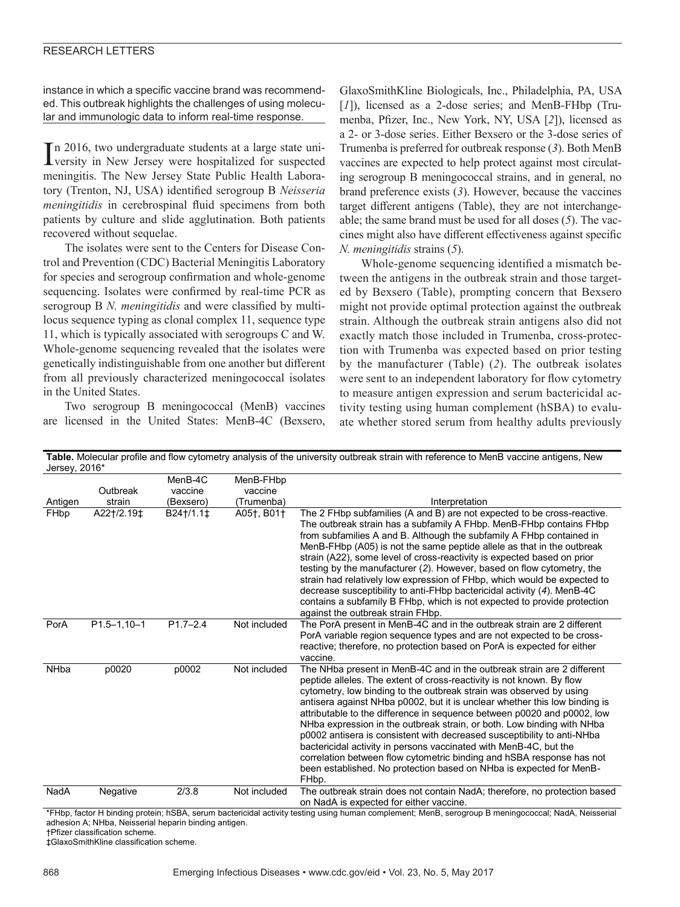instance in which a specific vaccine brand was recommended. This outbreak highlights the challenges of using molecular and immunologic data to inform real-time response.

In 2016, two undergraduate students at a large state university in New Jersey were hospitalized for suspected In 2016, two undergraduate students at a large state unimeningitis. The New Jersey State Public Health Laboratory (Trenton, NJ, USA) identified serogroup B *Neisseria meningitidis* in cerebrospinal fluid specimens from both patients by culture and slide agglutination. Both patients recovered without sequelae.

The isolates were sent to the Centers for Disease Control and Prevention (CDC) Bacterial Meningitis Laboratory for species and serogroup confirmation and whole-genome sequencing. Isolates were confirmed by real-time PCR as serogroup B *N. meningitidis* and were classified by multilocus sequence typing as clonal complex 11, sequence type 11, which is typically associated with serogroups C and W. Whole-genome sequencing revealed that the isolates were genetically indistinguishable from one another but different from all previously characterized meningococcal isolates in the United States.

Two serogroup B meningococcal (MenB) vaccines are licensed in the United States: MenB-4C (Bexsero,

GlaxoSmithKline Biologicals, Inc., Philadelphia, PA, USA [*1*]), licensed as a 2-dose series; and MenB-FHbp (Trumenba, Pfizer, Inc., New York, NY, USA [*2*]), licensed as a 2- or 3-dose series. Either Bexsero or the 3-dose series of Trumenba is preferred for outbreak response (*3*). Both MenB vaccines are expected to help protect against most circulating serogroup B meningococcal strains, and in general, no brand preference exists (*3*). However, because the vaccines target different antigens (Table), they are not interchangeable; the same brand must be used for all doses (*5*). The vaccines might also have different effectiveness against specific *N. meningitidis* strains (*5*).

Whole-genome sequencing identified a mismatch between the antigens in the outbreak strain and those targeted by Bexsero (Table), prompting concern that Bexsero might not provide optimal protection against the outbreak strain. Although the outbreak strain antigens also did not exactly match those included in Trumenba, cross-protection with Trumenba was expected based on prior testing by the manufacturer (Table) (*2*). The outbreak isolates were sent to an independent laboratory for flow cytometry to measure antigen expression and serum bactericidal activity testing using human complement (hSBA) to evaluate whether stored serum from healthy adults previously

| Table. Molecular profile and flow cytometry analysis of the university outbreak strain with reference to MenB vaccine antigens, New<br>Jersey, 2016* |                    |                                 |                                    |                                                                                                                                                                                                                                                                                                                                                                                                                                                                                                                                                                                                                                                                                                                                                                    |
|------------------------------------------------------------------------------------------------------------------------------------------------------|--------------------|---------------------------------|------------------------------------|--------------------------------------------------------------------------------------------------------------------------------------------------------------------------------------------------------------------------------------------------------------------------------------------------------------------------------------------------------------------------------------------------------------------------------------------------------------------------------------------------------------------------------------------------------------------------------------------------------------------------------------------------------------------------------------------------------------------------------------------------------------------|
| Antigen                                                                                                                                              | Outbreak<br>strain | MenB-4C<br>vaccine<br>(Bexsero) | MenB-FHbp<br>vaccine<br>(Trumenba) | Interpretation                                                                                                                                                                                                                                                                                                                                                                                                                                                                                                                                                                                                                                                                                                                                                     |
| FHbp                                                                                                                                                 | A22+/2.19±         | B24+/1.1±                       | A05†, B01†                         | The 2 FHbp subfamilies (A and B) are not expected to be cross-reactive.<br>The outbreak strain has a subfamily A FHbp. MenB-FHbp contains FHbp<br>from subfamilies A and B. Although the subfamily A FHbp contained in<br>MenB-FHbp (A05) is not the same peptide allele as that in the outbreak<br>strain (A22), some level of cross-reactivity is expected based on prior<br>testing by the manufacturer (2). However, based on flow cytometry, the<br>strain had relatively low expression of FHbp, which would be expected to<br>decrease susceptibility to anti-FHbp bactericidal activity (4). MenB-4C<br>contains a subfamily B FHbp, which is not expected to provide protection<br>against the outbreak strain FHbp.                                      |
| PorA                                                                                                                                                 | $P1.5 - 1, 10 - 1$ | $P1.7 - 2.4$                    | Not included                       | The PorA present in MenB-4C and in the outbreak strain are 2 different<br>PorA variable region sequence types and are not expected to be cross-<br>reactive; therefore, no protection based on PorA is expected for either<br>vaccine.                                                                                                                                                                                                                                                                                                                                                                                                                                                                                                                             |
| <b>NHba</b>                                                                                                                                          | p0020              | p0002                           | Not included                       | The NHba present in MenB-4C and in the outbreak strain are 2 different<br>peptide alleles. The extent of cross-reactivity is not known. By flow<br>cytometry, low binding to the outbreak strain was observed by using<br>antisera against NHba p0002, but it is unclear whether this low binding is<br>attributable to the difference in sequence between p0020 and p0002, low<br>NHba expression in the outbreak strain, or both. Low binding with NHba<br>p0002 antisera is consistent with decreased susceptibility to anti-NHba<br>bactericidal activity in persons vaccinated with MenB-4C, but the<br>correlation between flow cytometric binding and hSBA response has not<br>been established. No protection based on NHba is expected for MenB-<br>FHbp. |
| NadA                                                                                                                                                 | Negative           | 2/3.8                           | Not included                       | The outbreak strain does not contain NadA; therefore, no protection based<br>on NadA is expected for either vaccine.                                                                                                                                                                                                                                                                                                                                                                                                                                                                                                                                                                                                                                               |

\*FHbp, factor H binding protein; hSBA, serum bactericidal activity testing using human complement; MenB, serogroup B meningococcal; NadA, Neisserial adhesion A; NHba, Neisserial heparin binding antigen. †Pfizer classification scheme.

‡GlaxoSmithKline classification scheme.